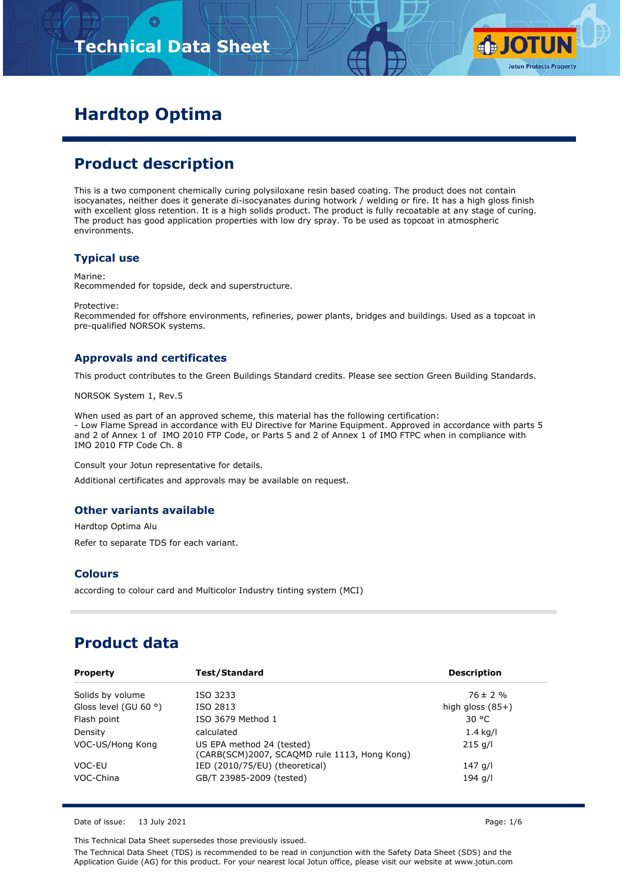# **Technical Data Sheet**



# **Hardtop Optima**

## **Product description**

This is a two component chemically curing polysiloxane resin based coating. The product does not contain isocyanates, neither does it generate di-isocyanates during hotwork / welding or fire. It has a high gloss finish with excellent gloss retention. It is a high solids product. The product is fully recoatable at any stage of curing. The product has good application properties with low dry spray. To be used as topcoat in atmospheric environments.

#### **Typical use**

Marine:

Recommended for topside, deck and superstructure.

Protective:

Recommended for offshore environments, refineries, power plants, bridges and buildings. Used as a topcoat in pre-qualified NORSOK systems.

#### **Approvals and certificates**

This product contributes to the Green Buildings Standard credits. Please see section Green Building Standards.

NORSOK System 1, Rev.5

When used as part of an approved scheme, this material has the following certification: - Low Flame Spread in accordance with EU Directive for Marine Equipment. Approved in accordance with parts 5 and 2 of Annex 1 of IMO 2010 FTP Code, or Parts 5 and 2 of Annex 1 of IMO FTPC when in compliance with IMO 2010 FTP Code Ch. 8

Consult your Jotun representative for details.

Additional certificates and approvals may be available on request.

#### **Other variants available**

Hardtop Optima Alu Refer to separate TDS for each variant.

#### **Colours**

according to colour card and Multicolor Industry tinting system (MCI)

## **Product data**

| <b>Property</b>                | Test/Standard                                                             | <b>Description</b> |
|--------------------------------|---------------------------------------------------------------------------|--------------------|
| Solids by volume               | ISO 3233                                                                  | $76 \pm 2 \%$      |
| Gloss level (GU 60 $\degree$ ) | ISO 2813                                                                  | high gloss $(85+)$ |
| Flash point                    | ISO 3679 Method 1                                                         | 30 °C              |
| Density                        | calculated                                                                | $1.4$ kg/l         |
| VOC-US/Hong Kong               | US EPA method 24 (tested)<br>(CARB(SCM)2007, SCAQMD rule 1113, Hong Kong) | $215$ g/l          |
| VOC-EU                         | IED (2010/75/EU) (theoretical)                                            | 147 g/l            |
| VOC-China                      | GB/T 23985-2009 (tested)                                                  | 194 g/l            |

Date of issue: 13 July 2021 **Page: 1/6** 

This Technical Data Sheet supersedes those previously issued.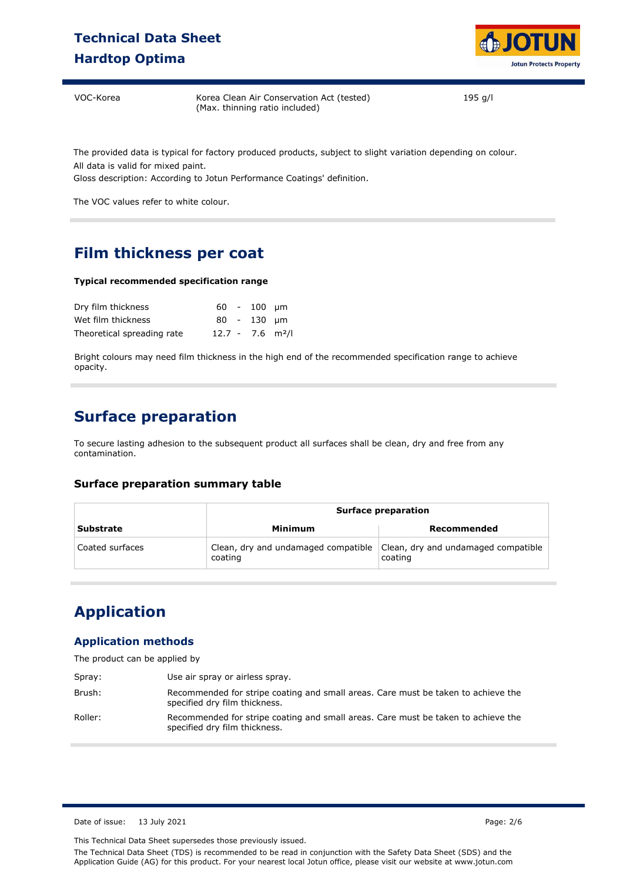## **Technical Data Sheet Hardtop Optima**



VOC-Korea Korea Clean Air Conservation Act (tested) (Max. thinning ratio included)

195 g/l

The provided data is typical for factory produced products, subject to slight variation depending on colour. All data is valid for mixed paint.

Gloss description: According to Jotun Performance Coatings' definition.

The VOC values refer to white colour.

## **Film thickness per coat**

#### **Typical recommended specification range**

| Dry film thickness         |                                | $60 - 100$ um |  |
|----------------------------|--------------------------------|---------------|--|
| Wet film thickness         |                                | $80 - 130$ um |  |
| Theoretical spreading rate | $12.7 - 7.6$ m <sup>2</sup> /l |               |  |

Bright colours may need film thickness in the high end of the recommended specification range to achieve opacity.

### **Surface preparation**

To secure lasting adhesion to the subsequent product all surfaces shall be clean, dry and free from any contamination.

#### **Surface preparation summary table**

|                  | <b>Surface preparation</b>                     |                                                |  |
|------------------|------------------------------------------------|------------------------------------------------|--|
| <b>Substrate</b> | Minimum                                        | Recommended                                    |  |
| Coated surfaces  | Clean, dry and undamaged compatible<br>coating | Clean, dry and undamaged compatible<br>coating |  |

## **Application**

#### **Application methods**

The product can be applied by

| Spray:  | Use air spray or airless spray.                                                                                    |
|---------|--------------------------------------------------------------------------------------------------------------------|
| Brush:  | Recommended for stripe coating and small areas. Care must be taken to achieve the<br>specified dry film thickness. |
| Roller: | Recommended for stripe coating and small areas. Care must be taken to achieve the<br>specified dry film thickness. |

Date of issue: 13 July 2021 Page: 2/6

This Technical Data Sheet supersedes those previously issued.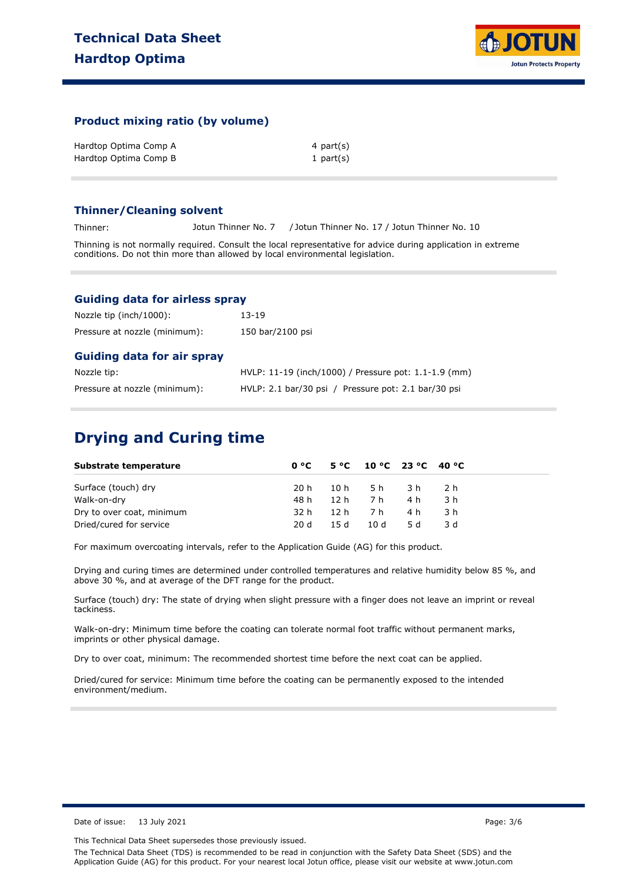

#### **Product mixing ratio (by volume)**

| Hardtop Optima Comp A | 4 part(s)    |
|-----------------------|--------------|
| Hardtop Optima Comp B | 1 part $(s)$ |

#### **Thinner/Cleaning solvent**

Thinner: Jotun Thinner No. 7 / Jotun Thinner No. 17 / Jotun Thinner No. 10

Thinning is not normally required. Consult the local representative for advice during application in extreme conditions. Do not thin more than allowed by local environmental legislation.

#### **Guiding data for airless spray**

| Nozzle tip (inch/1000):           | $13 - 19$                                             |
|-----------------------------------|-------------------------------------------------------|
| Pressure at nozzle (minimum):     | 150 bar/2100 psi                                      |
| <b>Guiding data for air spray</b> |                                                       |
| Nozzle tip:                       | HVLP: 11-19 (inch/1000) / Pressure pot: 1.1-1.9 (mm)  |
| Pressure at nozzle (minimum):     | $HVLP: 2.1 bar/30 psi$ / Pressure pot: 2.1 bar/30 psi |

### **Drying and Curing time**

| Substrate temperature     | 0 °C |        | $5^{\circ}$ C $10^{\circ}$ C $23^{\circ}$ C $40^{\circ}$ C |      |      |
|---------------------------|------|--------|------------------------------------------------------------|------|------|
| Surface (touch) dry       | 20 h |        | 10h 5h 3h                                                  |      | -2 h |
| Walk-on-dry               | 48 h |        | 12 h7 h                                                    | 4 h  | 3 h  |
| Dry to over coat, minimum | 32 h |        | 12 h7 h                                                    | 4 h  | .3 h |
| Dried/cured for service   | 20 d | 15 $d$ | 10d                                                        | .5 d | 3 d  |

For maximum overcoating intervals, refer to the Application Guide (AG) for this product.

Drying and curing times are determined under controlled temperatures and relative humidity below 85 %, and above 30 %, and at average of the DFT range for the product.

Surface (touch) dry: The state of drying when slight pressure with a finger does not leave an imprint or reveal tackiness.

Walk-on-dry: Minimum time before the coating can tolerate normal foot traffic without permanent marks, imprints or other physical damage.

Dry to over coat, minimum: The recommended shortest time before the next coat can be applied.

Dried/cured for service: Minimum time before the coating can be permanently exposed to the intended environment/medium.

Date of issue: 13 July 2021 Page: 3/6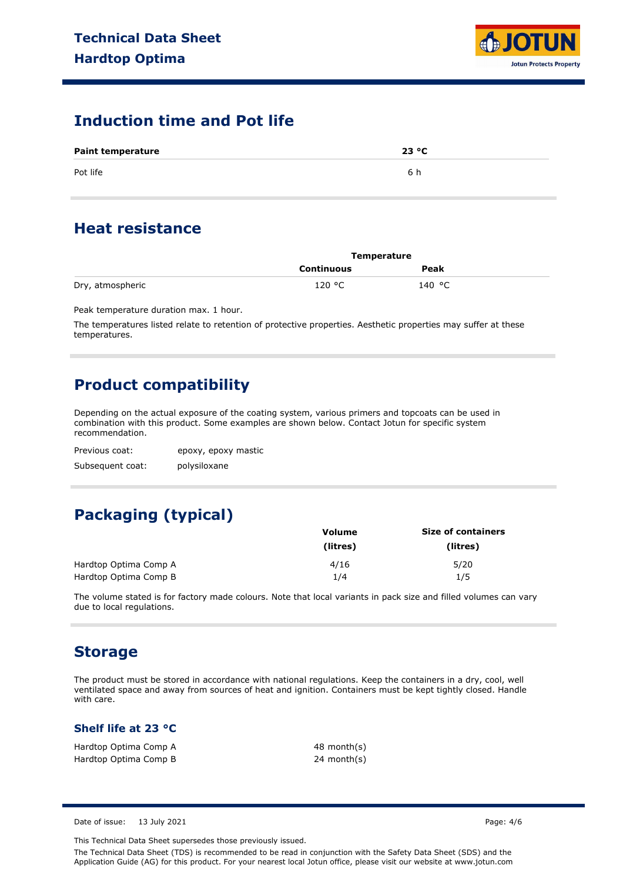

### **Induction time and Pot life**

| <b>Paint temperature</b> | 23 °C |
|--------------------------|-------|
| Pot life                 | 6 h   |

### **Heat resistance**

|                  | <b>Temperature</b> |        |  |
|------------------|--------------------|--------|--|
|                  | Continuous         | Peak   |  |
| Dry, atmospheric | 120 °C             | 140 °C |  |

Peak temperature duration max. 1 hour.

The temperatures listed relate to retention of protective properties. Aesthetic properties may suffer at these temperatures.

## **Product compatibility**

Depending on the actual exposure of the coating system, various primers and topcoats can be used in combination with this product. Some examples are shown below. Contact Jotun for specific system recommendation.

Previous coat: Subsequent coat: epoxy, epoxy mastic polysiloxane

# **Packaging (typical)**

|                       | Volume   | <b>Size of containers</b> |  |  |
|-----------------------|----------|---------------------------|--|--|
|                       | (litres) | (litres)                  |  |  |
| Hardtop Optima Comp A | 4/16     | 5/20                      |  |  |
| Hardtop Optima Comp B | 1/4      | 1/5                       |  |  |

The volume stated is for factory made colours. Note that local variants in pack size and filled volumes can vary due to local regulations.

### **Storage**

The product must be stored in accordance with national regulations. Keep the containers in a dry, cool, well ventilated space and away from sources of heat and ignition. Containers must be kept tightly closed. Handle with care.

#### **Shelf life at 23 °C**

| Hardtop Optima Comp A | 48 month(s) |
|-----------------------|-------------|
| Hardtop Optima Comp B | 24 month(s) |

Date of issue: 13 July 2021 Page: 4/6

This Technical Data Sheet supersedes those previously issued.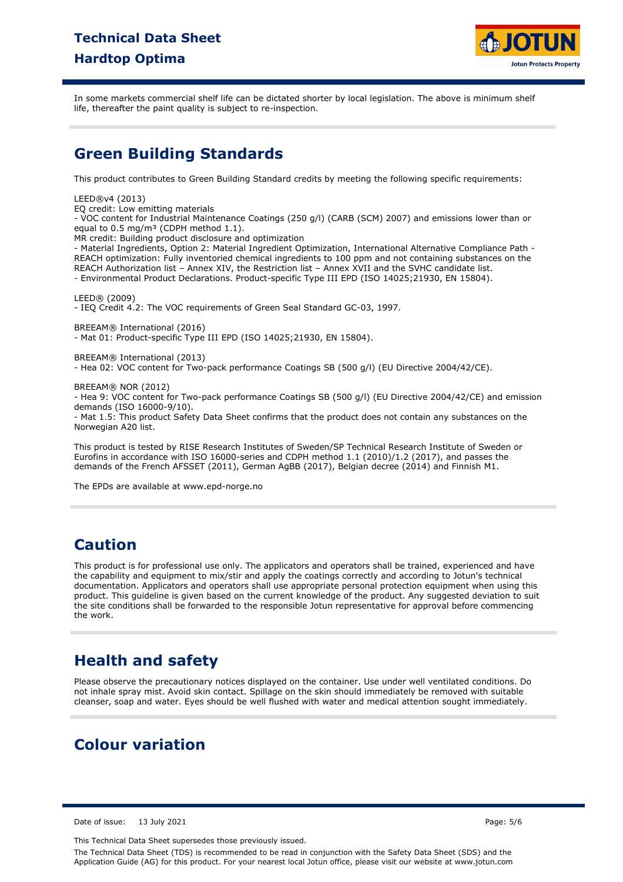## **Technical Data Sheet Hardtop Optima**



In some markets commercial shelf life can be dictated shorter by local legislation. The above is minimum shelf life, thereafter the paint quality is subject to re-inspection.

### **Green Building Standards**

This product contributes to Green Building Standard credits by meeting the following specific requirements:

#### LEED®v4 (2013)

EQ credit: Low emitting materials

- VOC content for Industrial Maintenance Coatings (250 g/l) (CARB (SCM) 2007) and emissions lower than or equal to  $0.5 \text{ mg/m}^3$  (CDPH method 1.1).

MR credit: Building product disclosure and optimization

- Material Ingredients, Option 2: Material Ingredient Optimization, International Alternative Compliance Path - REACH optimization: Fully inventoried chemical ingredients to 100 ppm and not containing substances on the REACH Authorization list – Annex XIV, the Restriction list – Annex XVII and the SVHC candidate list. - Environmental Product Declarations. Product-specific Type III EPD (ISO 14025;21930, EN 15804).

LEED® (2009)

- IEQ Credit 4.2: The VOC requirements of Green Seal Standard GC-03, 1997.

BREEAM® International (2016)

- Mat 01: Product-specific Type III EPD (ISO 14025;21930, EN 15804).

#### BREEAM® International (2013)

- Hea 02: VOC content for Two-pack performance Coatings SB (500 g/l) (EU Directive 2004/42/CE).

#### BREEAM® NOR (2012)

- Hea 9: VOC content for Two-pack performance Coatings SB (500 g/l) (EU Directive 2004/42/CE) and emission demands (ISO 16000-9/10).

- Mat 1.5: This product Safety Data Sheet confirms that the product does not contain any substances on the Norwegian A20 list.

This product is tested by RISE Research Institutes of Sweden/SP Technical Research Institute of Sweden or Eurofins in accordance with ISO 16000-series and CDPH method 1.1 (2010)/1.2 (2017), and passes the demands of the French AFSSET (2011), German AgBB (2017), Belgian decree (2014) and Finnish M1.

The EPDs are available at www.epd-norge.no

### **Caution**

This product is for professional use only. The applicators and operators shall be trained, experienced and have the capability and equipment to mix/stir and apply the coatings correctly and according to Jotun's technical documentation. Applicators and operators shall use appropriate personal protection equipment when using this product. This guideline is given based on the current knowledge of the product. Any suggested deviation to suit the site conditions shall be forwarded to the responsible Jotun representative for approval before commencing the work.

## **Health and safety**

Please observe the precautionary notices displayed on the container. Use under well ventilated conditions. Do not inhale spray mist. Avoid skin contact. Spillage on the skin should immediately be removed with suitable cleanser, soap and water. Eyes should be well flushed with water and medical attention sought immediately.

### **Colour variation**

Date of issue: 13 July 2021 Page: 5/6

This Technical Data Sheet supersedes those previously issued.